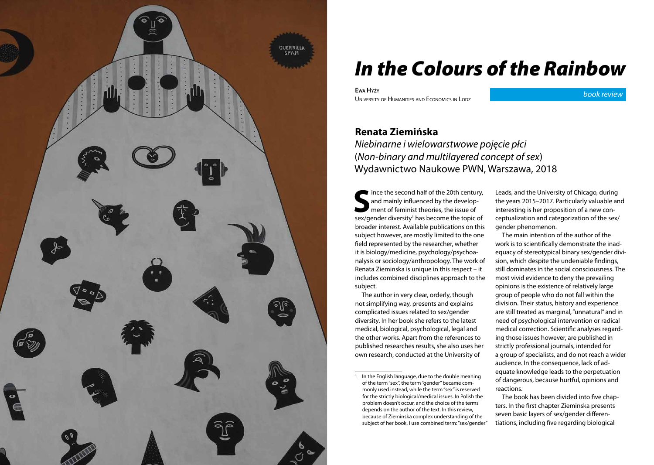

## *In the Colours of the Rainbow*

**Ewa Hyży** University of Humanities and Economics in Lodz

*book review*

## **Renata Ziemińska**

*Niebinarne i wielowarstwowe pojęcie płci* (*Non-binary and multilayered concept of sex*) Wydawnictwo Naukowe PWN, Warszawa, 2018

Since the second half of the 20th century,<br>and mainly influenced by the develop-<br>ment of feminist theories, the issue of<br>sox/gondor diversity! has become the topic of and mainly influenced by the development of feminist theories, the issue of sex/gender diversity<sup>1</sup> has become the topic of broader interest. Available publications on this subject however, are mostly limited to the one field represented by the researcher, whether it is biology/medicine, psychology/psychoanalysis or sociology/anthropology. The work of Renata Zieminska is unique in this respect – it includes combined disciplines approach to the subject.

The author in very clear, orderly, though not simplifying way, presents and explains complicated issues related to sex/gender diversity. In her book she refers to the latest medical, biological, psychological, legal and the other works. Apart from the references to published researches results, she also uses her own research, conducted at the University of

1 In the English language, due to the double meaning of the term "sex", the term "gender" became commonly used instead, while the term "sex" is reserved for the strictly biological/medical issues. In Polish the problem doesn't occur, and the choice of the terms depends on the author of the text. In this review, because of Zieminska complex understanding of the subject of her book, I use combined term: "sex/gender" Leads, and the University of Chicago, during the years 2015–2017. Particularly valuable and interesting is her proposition of a new conceptualization and categorization of the sex/ gender phenomenon.

The main intention of the author of the work is to scientifically demonstrate the inadequacy of stereotypical binary sex/gender division, which despite the undeniable findings, still dominates in the social consciousness. The most vivid evidence to deny the prevailing opinions is the existence of relatively large group of people who do not fall within the division. Their status, history and experience are still treated as marginal, "unnatural" and in need of psychological intervention or radical medical correction. Scientific analyses regarding those issues however, are published in strictly professional journals, intended for a group of specialists, and do not reach a wider audience. In the consequence, lack of adequate knowledge leads to the perpetuation of dangerous, because hurtful, opinions and reactions.

The book has been divided into five chapters. In the first chapter Zieminska presents seven basic layers of sex/gender differentiations, including five regarding biological